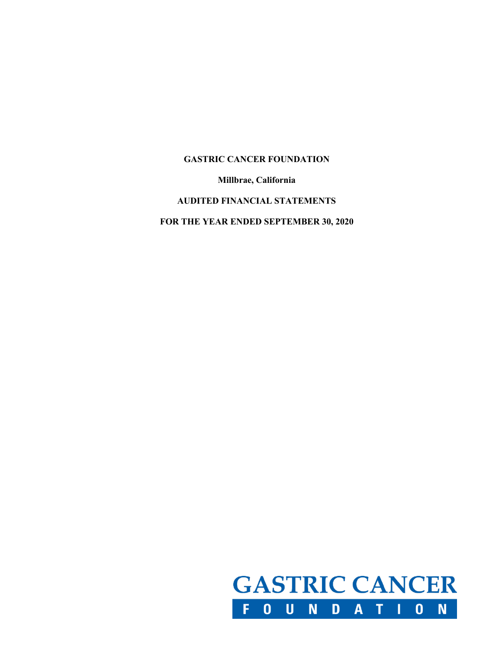**Millbrae, California**

### **AUDITED FINANCIAL STATEMENTS**

**FOR THE YEAR ENDED SEPTEMBER 30, 2020**

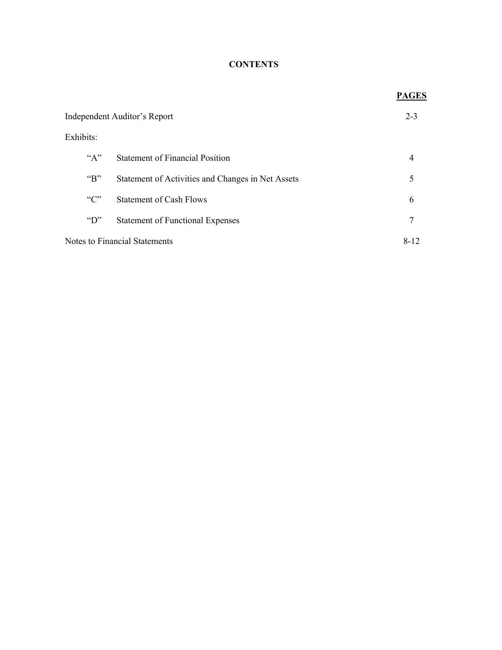# **CONTENTS**

|                               |                                                   | <b>PAGES</b> |
|-------------------------------|---------------------------------------------------|--------------|
| Independent Auditor's Report  |                                                   | $2 - 3$      |
| Exhibits:                     |                                                   |              |
| $A^{\prime\prime}$            | <b>Statement of Financial Position</b>            | 4            |
| " $B$ "                       | Statement of Activities and Changes in Net Assets | 5            |
| C                             | <b>Statement of Cash Flows</b>                    | 6            |
| $\mathrm{``D''}$              | <b>Statement of Functional Expenses</b>           | 7            |
| Notes to Financial Statements |                                                   | 8-12         |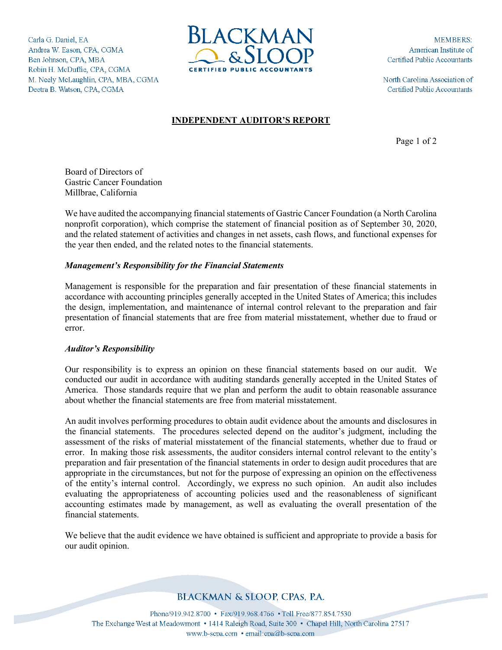Carla G. Daniel, EA Andrea W. Eason, CPA, CGMA Ben Johnson, CPA, MBA Robin H. McDuffie, CPA, CGMA M. Neely McLaughlin, CPA, MBA, CGMA Deetra B. Watson, CPA, CGMA



**MEMBERS:** American Institute of Certified Public Accountants

North Carolina Association of Certified Public Accountants

#### **INDEPENDENT AUDITOR'S REPORT**

Page 1 of 2

Board of Directors of Gastric Cancer Foundation Millbrae, California

We have audited the accompanying financial statements of Gastric Cancer Foundation (a North Carolina nonprofit corporation), which comprise the statement of financial position as of September 30, 2020, and the related statement of activities and changes in net assets, cash flows, and functional expenses for the year then ended, and the related notes to the financial statements.

#### *Management's Responsibility for the Financial Statements*

Management is responsible for the preparation and fair presentation of these financial statements in accordance with accounting principles generally accepted in the United States of America; this includes the design, implementation, and maintenance of internal control relevant to the preparation and fair presentation of financial statements that are free from material misstatement, whether due to fraud or error.

#### *Auditor's Responsibility*

Our responsibility is to express an opinion on these financial statements based on our audit. We conducted our audit in accordance with auditing standards generally accepted in the United States of America. Those standards require that we plan and perform the audit to obtain reasonable assurance about whether the financial statements are free from material misstatement.

An audit involves performing procedures to obtain audit evidence about the amounts and disclosures in the financial statements. The procedures selected depend on the auditor's judgment, including the assessment of the risks of material misstatement of the financial statements, whether due to fraud or error. In making those risk assessments, the auditor considers internal control relevant to the entity's preparation and fair presentation of the financial statements in order to design audit procedures that are appropriate in the circumstances, but not for the purpose of expressing an opinion on the effectiveness of the entity's internal control. Accordingly, we express no such opinion. An audit also includes evaluating the appropriateness of accounting policies used and the reasonableness of significant accounting estimates made by management, as well as evaluating the overall presentation of the financial statements.

We believe that the audit evidence we have obtained is sufficient and appropriate to provide a basis for our audit opinion.

# **BLACKMAN & SLOOP, CPAS, P.A.**

Phone/919.942.8700 • Fax/919.968.4766 • Toll Free/877.854.7530 The Exchange West at Meadowmont • 1414 Raleigh Road, Suite 300 • Chapel Hill, North Carolina 27517 www.b-scpa.com • email:cpa@b-scpa.com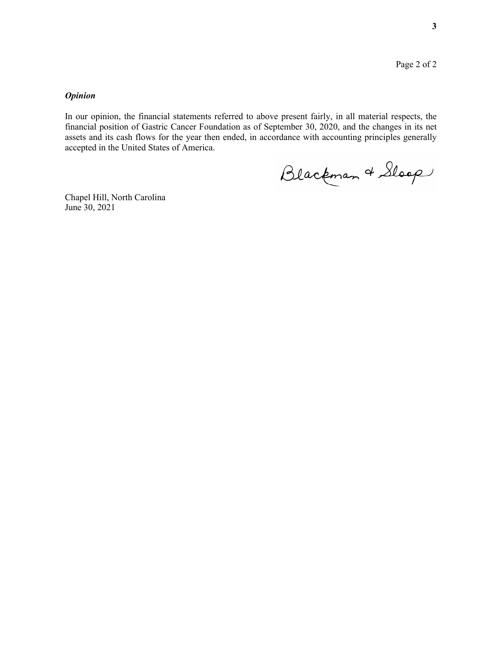#### *Opinion*

In our opinion, the financial statements referred to above present fairly, in all material respects, the financial position of Gastric Cancer Foundation as of September 30, 2020, and the changes in its net assets and its cash flows for the year then ended, in accordance with accounting principles generally accepted in the United States of America.

Blackman & Sloop

Chapel Hill, North Carolina June 30, 2021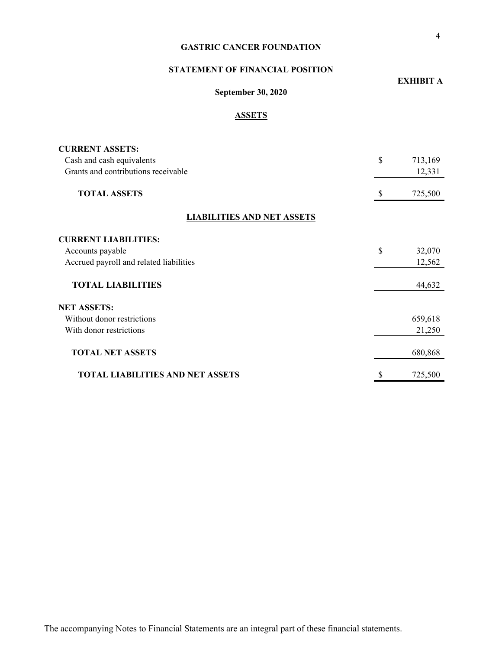### **STATEMENT OF FINANCIAL POSITION**

# **EXHIBIT A**

# **September 30, 2020**

## **ASSETS**

| <b>CURRENT ASSETS:</b>                  |               |
|-----------------------------------------|---------------|
| Cash and cash equivalents               | \$<br>713,169 |
| Grants and contributions receivable     | 12,331        |
| <b>TOTAL ASSETS</b>                     | 725,500       |
| <b>LIABILITIES AND NET ASSETS</b>       |               |
| <b>CURRENT LIABILITIES:</b>             |               |
| Accounts payable                        | \$<br>32,070  |
| Accrued payroll and related liabilities | 12,562        |
| <b>TOTAL LIABILITIES</b>                | 44,632        |
| <b>NET ASSETS:</b>                      |               |
| Without donor restrictions              | 659,618       |
| With donor restrictions                 | 21,250        |
| <b>TOTAL NET ASSETS</b>                 | 680,868       |
| <b>TOTAL LIABILITIES AND NET ASSETS</b> | \$<br>725,500 |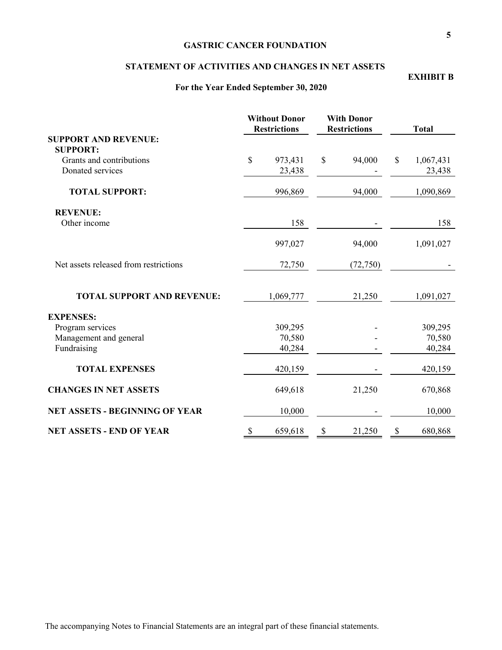#### **STATEMENT OF ACTIVITIES AND CHANGES IN NET ASSETS**

#### **For the Year Ended September 30, 2020**

# **Without Donor With Donor Restrictions Restrictions Total SUPPORT AND REVENUE: SUPPORT:** Grants and contributions  $\begin{array}{cccc} \text{S} & 973,431 & \text{S} & 94,000 & \text{S} & 1,067,431 \end{array}$ Donated services 23,438 - 23,438 **TOTAL SUPPORT:** 996,869 94,000 1,090,869 **REVENUE:** Other income 158 - 158 997,027 94,000 1,091,027 Net assets released from restrictions 72,750 (72,750) -**TOTAL SUPPORT AND REVENUE:** 1,069,777 21,250 1,091,027 **EXPENSES:** Program services 309,295 - 309,295 Management and general  $70,580$  -  $70,580$ Fundraising 40,284 - 40,284 **TOTAL EXPENSES** 420,159 - 420,159 **CHANGES IN NET ASSETS** 649,618 21,250 670,868 **NET ASSETS - BEGINNING OF YEAR** 10,000 - 10,000 **NET ASSETS - END OF YEAR** \$ 659,618 \$ 21,250 \$ 680,868

**EXHIBIT B**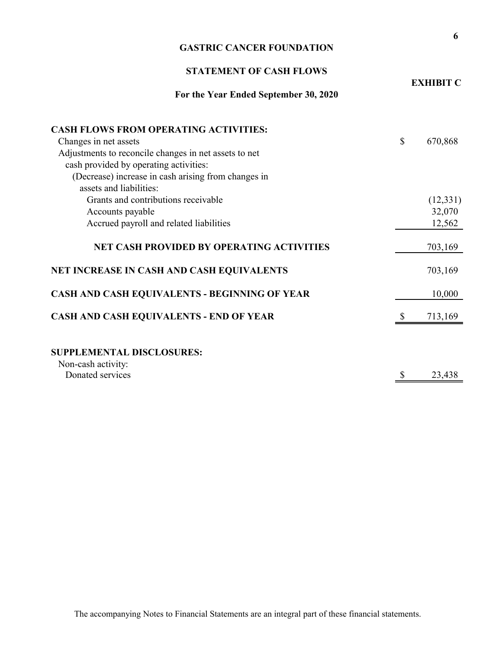| <b>GASTRIC CANCER FOUNDATION</b>                               |    |                    |  |  |  |
|----------------------------------------------------------------|----|--------------------|--|--|--|
| <b>STATEMENT OF CASH FLOWS</b>                                 |    |                    |  |  |  |
| For the Year Ended September 30, 2020                          |    | <b>EXHIBIT C</b>   |  |  |  |
| <b>CASH FLOWS FROM OPERATING ACTIVITIES:</b>                   |    |                    |  |  |  |
| Changes in net assets                                          | \$ | 670,868            |  |  |  |
| Adjustments to reconcile changes in net assets to net          |    |                    |  |  |  |
| cash provided by operating activities:                         |    |                    |  |  |  |
| (Decrease) increase in cash arising from changes in            |    |                    |  |  |  |
| assets and liabilities:<br>Grants and contributions receivable |    |                    |  |  |  |
| Accounts payable                                               |    | (12,331)<br>32,070 |  |  |  |
| Accrued payroll and related liabilities                        |    | 12,562             |  |  |  |
|                                                                |    |                    |  |  |  |
| <b>NET CASH PROVIDED BY OPERATING ACTIVITIES</b>               |    | 703,169            |  |  |  |
| NET INCREASE IN CASH AND CASH EQUIVALENTS                      |    | 703,169            |  |  |  |
| CASH AND CASH EQUIVALENTS - BEGINNING OF YEAR                  |    | 10,000             |  |  |  |
| CASH AND CASH EQUIVALENTS - END OF YEAR                        | \$ | 713,169            |  |  |  |
|                                                                |    |                    |  |  |  |
| <b>SUPPLEMENTAL DISCLOSURES:</b>                               |    |                    |  |  |  |
| Non-cash activity:<br>Donated services                         | \$ | 23,438             |  |  |  |

**6**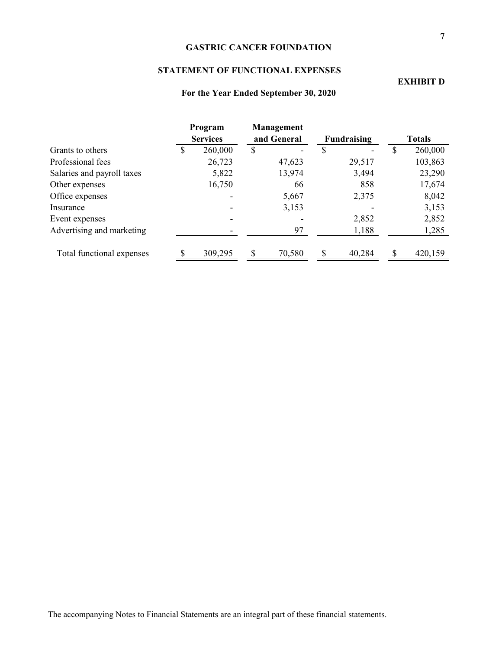### **STATEMENT OF FUNCTIONAL EXPENSES**

|                            |   | Program<br><b>Services</b> |    | Management<br>and General | <b>Fundraising</b> |        | <b>Totals</b> |         |
|----------------------------|---|----------------------------|----|---------------------------|--------------------|--------|---------------|---------|
| Grants to others           | S | 260,000                    | \$ |                           | ۵J.                |        | S             | 260,000 |
| Professional fees          |   | 26,723                     |    | 47,623                    |                    | 29,517 |               | 103,863 |
| Salaries and payroll taxes |   | 5,822                      |    | 13,974                    |                    | 3,494  |               | 23,290  |
| Other expenses             |   | 16,750                     |    | 66                        |                    | 858    |               | 17,674  |
| Office expenses            |   |                            |    | 5,667                     |                    | 2,375  |               | 8,042   |
| Insurance                  |   |                            |    | 3,153                     |                    |        |               | 3,153   |
| Event expenses             |   |                            |    |                           |                    | 2,852  |               | 2,852   |
| Advertising and marketing  |   |                            |    | 97                        |                    | 1,188  |               | 1,285   |
| Total functional expenses  |   | 309,295                    |    | 70,580                    |                    | 40,284 | ς             | 420,159 |

**For the Year Ended September 30, 2020**

**EXHIBIT D**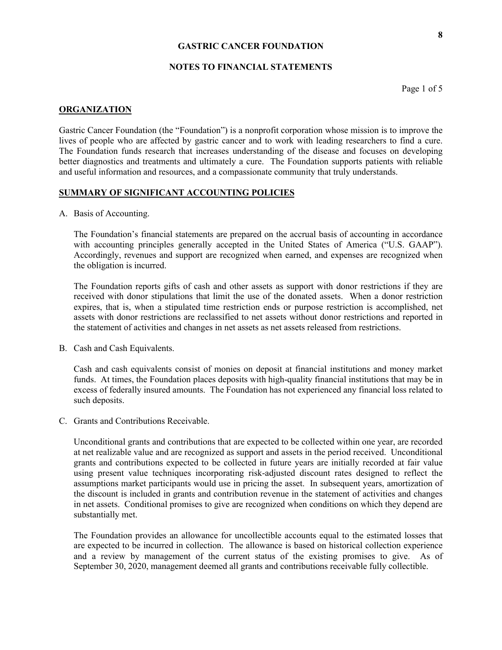#### **NOTES TO FINANCIAL STATEMENTS**

Page 1 of 5

#### **ORGANIZATION**

Gastric Cancer Foundation (the "Foundation") is a nonprofit corporation whose mission is to improve the lives of people who are affected by gastric cancer and to work with leading researchers to find a cure. The Foundation funds research that increases understanding of the disease and focuses on developing better diagnostics and treatments and ultimately a cure. The Foundation supports patients with reliable and useful information and resources, and a compassionate community that truly understands.

#### **SUMMARY OF SIGNIFICANT ACCOUNTING POLICIES**

A. Basis of Accounting.

The Foundation's financial statements are prepared on the accrual basis of accounting in accordance with accounting principles generally accepted in the United States of America ("U.S. GAAP"). Accordingly, revenues and support are recognized when earned, and expenses are recognized when the obligation is incurred.

The Foundation reports gifts of cash and other assets as support with donor restrictions if they are received with donor stipulations that limit the use of the donated assets. When a donor restriction expires, that is, when a stipulated time restriction ends or purpose restriction is accomplished, net assets with donor restrictions are reclassified to net assets without donor restrictions and reported in the statement of activities and changes in net assets as net assets released from restrictions.

B. Cash and Cash Equivalents.

Cash and cash equivalents consist of monies on deposit at financial institutions and money market funds. At times, the Foundation places deposits with high-quality financial institutions that may be in excess of federally insured amounts. The Foundation has not experienced any financial loss related to such deposits.

C. Grants and Contributions Receivable.

Unconditional grants and contributions that are expected to be collected within one year, are recorded at net realizable value and are recognized as support and assets in the period received. Unconditional grants and contributions expected to be collected in future years are initially recorded at fair value using present value techniques incorporating risk-adjusted discount rates designed to reflect the assumptions market participants would use in pricing the asset. In subsequent years, amortization of the discount is included in grants and contribution revenue in the statement of activities and changes in net assets. Conditional promises to give are recognized when conditions on which they depend are substantially met.

The Foundation provides an allowance for uncollectible accounts equal to the estimated losses that are expected to be incurred in collection. The allowance is based on historical collection experience and a review by management of the current status of the existing promises to give. As of September 30, 2020, management deemed all grants and contributions receivable fully collectible.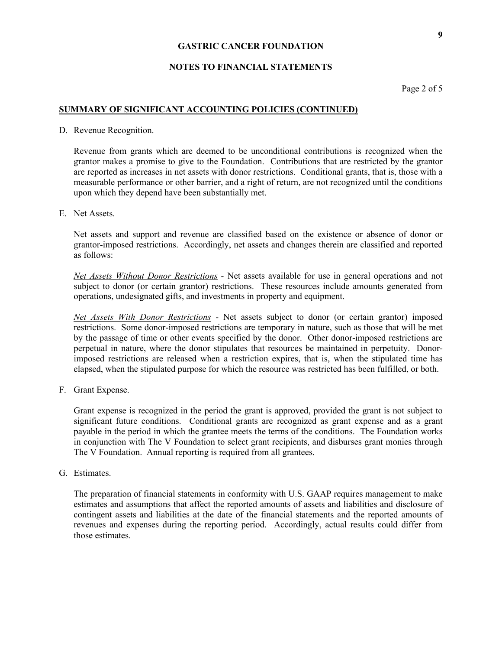#### **NOTES TO FINANCIAL STATEMENTS**

Page 2 of 5

#### **SUMMARY OF SIGNIFICANT ACCOUNTING POLICIES (CONTINUED)**

D. Revenue Recognition.

Revenue from grants which are deemed to be unconditional contributions is recognized when the grantor makes a promise to give to the Foundation. Contributions that are restricted by the grantor are reported as increases in net assets with donor restrictions. Conditional grants, that is, those with a measurable performance or other barrier, and a right of return, are not recognized until the conditions upon which they depend have been substantially met.

E. Net Assets.

Net assets and support and revenue are classified based on the existence or absence of donor or grantor-imposed restrictions. Accordingly, net assets and changes therein are classified and reported as follows:

*Net Assets Without Donor Restrictions -* Net assets available for use in general operations and not subject to donor (or certain grantor) restrictions. These resources include amounts generated from operations, undesignated gifts, and investments in property and equipment.

*Net Assets With Donor Restrictions* - Net assets subject to donor (or certain grantor) imposed restrictions. Some donor-imposed restrictions are temporary in nature, such as those that will be met by the passage of time or other events specified by the donor. Other donor-imposed restrictions are perpetual in nature, where the donor stipulates that resources be maintained in perpetuity. Donorimposed restrictions are released when a restriction expires, that is, when the stipulated time has elapsed, when the stipulated purpose for which the resource was restricted has been fulfilled, or both.

F. Grant Expense.

Grant expense is recognized in the period the grant is approved, provided the grant is not subject to significant future conditions. Conditional grants are recognized as grant expense and as a grant payable in the period in which the grantee meets the terms of the conditions. The Foundation works in conjunction with The V Foundation to select grant recipients, and disburses grant monies through The V Foundation. Annual reporting is required from all grantees.

G. Estimates.

The preparation of financial statements in conformity with U.S. GAAP requires management to make estimates and assumptions that affect the reported amounts of assets and liabilities and disclosure of contingent assets and liabilities at the date of the financial statements and the reported amounts of revenues and expenses during the reporting period. Accordingly, actual results could differ from those estimates.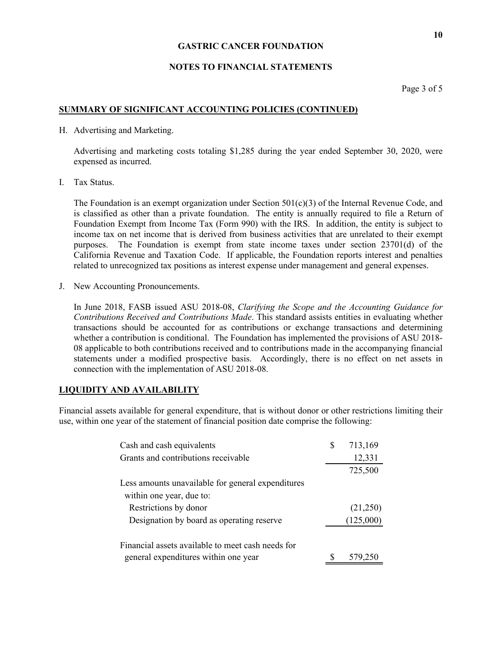#### **NOTES TO FINANCIAL STATEMENTS**

Page 3 of 5

#### **SUMMARY OF SIGNIFICANT ACCOUNTING POLICIES (CONTINUED)**

H. Advertising and Marketing.

Advertising and marketing costs totaling \$1,285 during the year ended September 30, 2020, were expensed as incurred.

I. Tax Status.

The Foundation is an exempt organization under Section  $501(c)(3)$  of the Internal Revenue Code, and is classified as other than a private foundation. The entity is annually required to file a Return of Foundation Exempt from Income Tax (Form 990) with the IRS. In addition, the entity is subject to income tax on net income that is derived from business activities that are unrelated to their exempt purposes. The Foundation is exempt from state income taxes under section 23701(d) of the California Revenue and Taxation Code. If applicable, the Foundation reports interest and penalties related to unrecognized tax positions as interest expense under management and general expenses.

J. New Accounting Pronouncements.

In June 2018, FASB issued ASU 2018-08, *Clarifying the Scope and the Accounting Guidance for Contributions Received and Contributions Made*. This standard assists entities in evaluating whether transactions should be accounted for as contributions or exchange transactions and determining whether a contribution is conditional. The Foundation has implemented the provisions of ASU 2018- 08 applicable to both contributions received and to contributions made in the accompanying financial statements under a modified prospective basis. Accordingly, there is no effect on net assets in connection with the implementation of ASU 2018-08.

#### **LIQUIDITY AND AVAILABILITY**

Financial assets available for general expenditure, that is without donor or other restrictions limiting their use, within one year of the statement of financial position date comprise the following:

| Cash and cash equivalents                         | S | 713,169   |
|---------------------------------------------------|---|-----------|
| Grants and contributions receivable               |   | 12,331    |
|                                                   |   | 725,500   |
| Less amounts unavailable for general expenditures |   |           |
| within one year, due to:                          |   |           |
| Restrictions by donor                             |   | (21,250)  |
| Designation by board as operating reserve         |   | (125,000) |
| Financial assets available to meet cash needs for |   |           |
| general expenditures within one year              |   | 579,250   |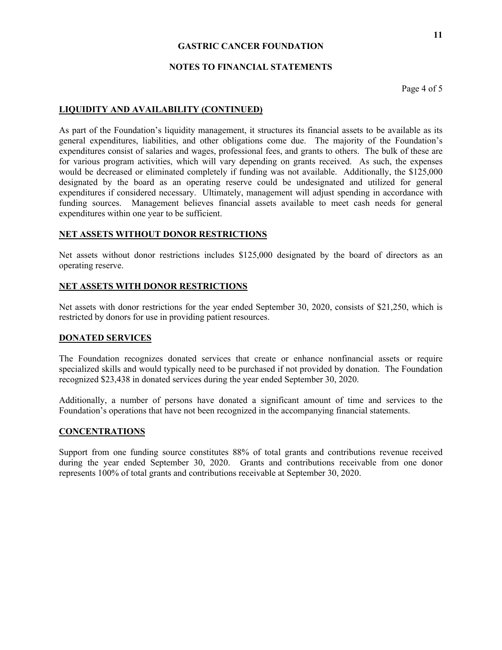#### **NOTES TO FINANCIAL STATEMENTS**

Page 4 of 5

#### **LIQUIDITY AND AVAILABILITY (CONTINUED)**

As part of the Foundation's liquidity management, it structures its financial assets to be available as its general expenditures, liabilities, and other obligations come due. The majority of the Foundation's expenditures consist of salaries and wages, professional fees, and grants to others. The bulk of these are for various program activities, which will vary depending on grants received. As such, the expenses would be decreased or eliminated completely if funding was not available. Additionally, the \$125,000 designated by the board as an operating reserve could be undesignated and utilized for general expenditures if considered necessary. Ultimately, management will adjust spending in accordance with funding sources. Management believes financial assets available to meet cash needs for general expenditures within one year to be sufficient.

#### **NET ASSETS WITHOUT DONOR RESTRICTIONS**

Net assets without donor restrictions includes \$125,000 designated by the board of directors as an operating reserve.

#### **NET ASSETS WITH DONOR RESTRICTIONS**

Net assets with donor restrictions for the year ended September 30, 2020, consists of \$21,250, which is restricted by donors for use in providing patient resources.

#### **DONATED SERVICES**

The Foundation recognizes donated services that create or enhance nonfinancial assets or require specialized skills and would typically need to be purchased if not provided by donation. The Foundation recognized \$23,438 in donated services during the year ended September 30, 2020.

Additionally, a number of persons have donated a significant amount of time and services to the Foundation's operations that have not been recognized in the accompanying financial statements.

#### **CONCENTRATIONS**

Support from one funding source constitutes 88% of total grants and contributions revenue received during the year ended September 30, 2020. Grants and contributions receivable from one donor represents 100% of total grants and contributions receivable at September 30, 2020.